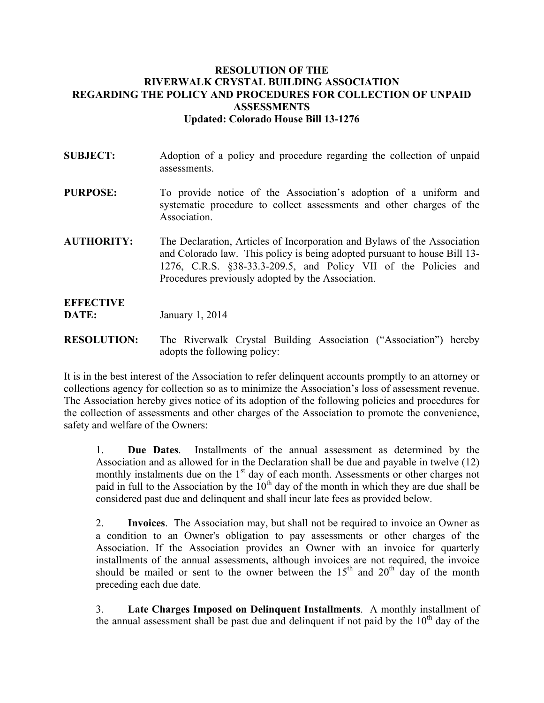## **RESOLUTION OF THE RIVERWALK CRYSTAL BUILDING ASSOCIATION REGARDING THE POLICY AND PROCEDURES FOR COLLECTION OF UNPAID ASSESSMENTS Updated: Colorado House Bill 13-1276**

- **SUBJECT:** Adoption of a policy and procedure regarding the collection of unpaid assessments.
- **PURPOSE:** To provide notice of the Association's adoption of a uniform and systematic procedure to collect assessments and other charges of the Association.
- **AUTHORITY:** The Declaration, Articles of Incorporation and Bylaws of the Association and Colorado law. This policy is being adopted pursuant to house Bill 13- 1276, C.R.S. §38-33.3-209.5, and Policy VII of the Policies and Procedures previously adopted by the Association.

## **EFFECTIVE DATE:** January 1, 2014

**RESOLUTION:** The Riverwalk Crystal Building Association ("Association") hereby adopts the following policy:

It is in the best interest of the Association to refer delinquent accounts promptly to an attorney or collections agency for collection so as to minimize the Association's loss of assessment revenue. The Association hereby gives notice of its adoption of the following policies and procedures for the collection of assessments and other charges of the Association to promote the convenience, safety and welfare of the Owners:

1. **Due Dates**. Installments of the annual assessment as determined by the Association and as allowed for in the Declaration shall be due and payable in twelve (12) monthly instalments due on the  $1<sup>st</sup>$  day of each month. Assessments or other charges not paid in full to the Association by the  $10<sup>th</sup>$  day of the month in which they are due shall be considered past due and delinquent and shall incur late fees as provided below.

2. **Invoices**. The Association may, but shall not be required to invoice an Owner as a condition to an Owner's obligation to pay assessments or other charges of the Association. If the Association provides an Owner with an invoice for quarterly installments of the annual assessments, although invoices are not required, the invoice should be mailed or sent to the owner between the  $15<sup>th</sup>$  and  $20<sup>th</sup>$  day of the month preceding each due date.

3. **Late Charges Imposed on Delinquent Installments**. A monthly installment of the annual assessment shall be past due and delinquent if not paid by the  $10<sup>th</sup>$  day of the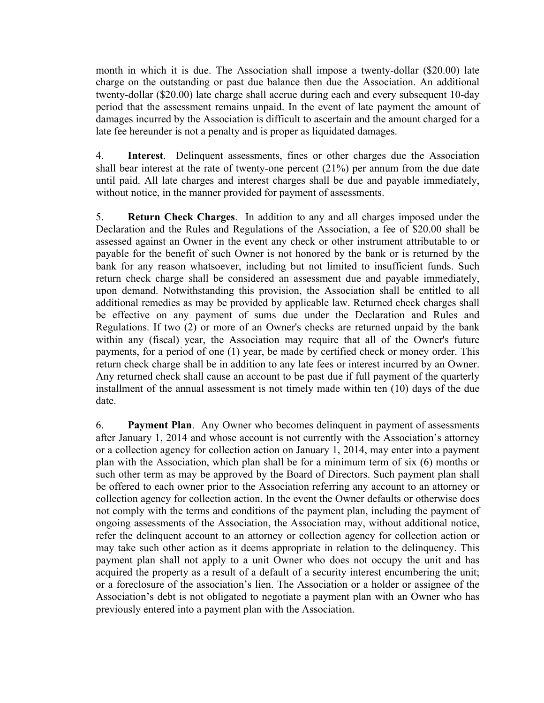month in which it is due. The Association shall impose a twenty-dollar (\$20.00) late charge on the outstanding or past due balance then due the Association. An additional twenty-dollar (\$20.00) late charge shall accrue during each and every subsequent 10-day period that the assessment remains unpaid. In the event of late payment the amount of damages incurred by the Association is difficult to ascertain and the amount charged for a late fee hereunder is not a penalty and is proper as liquidated damages.

4. **Interest**. Delinquent assessments, fines or other charges due the Association shall bear interest at the rate of twenty-one percent (21%) per annum from the due date until paid. All late charges and interest charges shall be due and payable immediately, without notice, in the manner provided for payment of assessments.

5. **Return Check Charges**. In addition to any and all charges imposed under the Declaration and the Rules and Regulations of the Association, a fee of \$20.00 shall be assessed against an Owner in the event any check or other instrument attributable to or payable for the benefit of such Owner is not honored by the bank or is returned by the bank for any reason whatsoever, including but not limited to insufficient funds. Such return check charge shall be considered an assessment due and payable immediately, upon demand. Notwithstanding this provision, the Association shall be entitled to all additional remedies as may be provided by applicable law. Returned check charges shall be effective on any payment of sums due under the Declaration and Rules and Regulations. If two (2) or more of an Owner's checks are returned unpaid by the bank within any (fiscal) year, the Association may require that all of the Owner's future payments, for a period of one (1) year, be made by certified check or money order. This return check charge shall be in addition to any late fees or interest incurred by an Owner. Any returned check shall cause an account to be past due if full payment of the quarterly installment of the annual assessment is not timely made within ten (10) days of the due date.

6. **Payment Plan**. Any Owner who becomes delinquent in payment of assessments after January 1, 2014 and whose account is not currently with the Association's attorney or a collection agency for collection action on January 1, 2014, may enter into a payment plan with the Association, which plan shall be for a minimum term of six (6) months or such other term as may be approved by the Board of Directors. Such payment plan shall be offered to each owner prior to the Association referring any account to an attorney or collection agency for collection action. In the event the Owner defaults or otherwise does not comply with the terms and conditions of the payment plan, including the payment of ongoing assessments of the Association, the Association may, without additional notice, refer the delinquent account to an attorney or collection agency for collection action or may take such other action as it deems appropriate in relation to the delinquency. This payment plan shall not apply to a unit Owner who does not occupy the unit and has acquired the property as a result of a default of a security interest encumbering the unit; or a foreclosure of the association's lien. The Association or a holder or assignee of the Association's debt is not obligated to negotiate a payment plan with an Owner who has previously entered into a payment plan with the Association.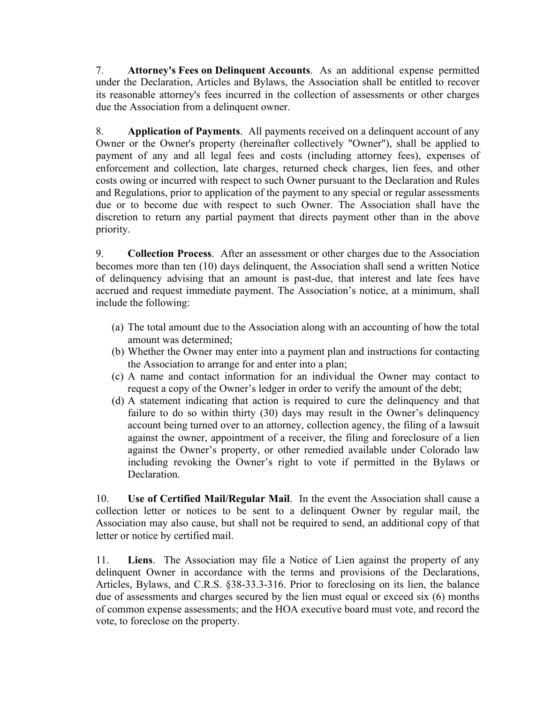7. **Attorney's Fees on Delinquent Accounts**. As an additional expense permitted under the Declaration, Articles and Bylaws, the Association shall be entitled to recover its reasonable attorney's fees incurred in the collection of assessments or other charges due the Association from a delinquent owner.

8. **Application of Payments**. All payments received on a delinquent account of any Owner or the Owner's property (hereinafter collectively "Owner"), shall be applied to payment of any and all legal fees and costs (including attorney fees), expenses of enforcement and collection, late charges, returned check charges, lien fees, and other costs owing or incurred with respect to such Owner pursuant to the Declaration and Rules and Regulations, prior to application of the payment to any special or regular assessments due or to become due with respect to such Owner. The Association shall have the discretion to return any partial payment that directs payment other than in the above priority.

9. **Collection Process**. After an assessment or other charges due to the Association becomes more than ten (10) days delinquent, the Association shall send a written Notice of delinquency advising that an amount is past-due, that interest and late fees have accrued and request immediate payment. The Association's notice, at a minimum, shall include the following:

- (a) The total amount due to the Association along with an accounting of how the total amount was determined;
- (b) Whether the Owner may enter into a payment plan and instructions for contacting the Association to arrange for and enter into a plan;
- (c) A name and contact information for an individual the Owner may contact to request a copy of the Owner's ledger in order to verify the amount of the debt;
- (d) A statement indicating that action is required to cure the delinquency and that failure to do so within thirty (30) days may result in the Owner's delinquency account being turned over to an attorney, collection agency, the filing of a lawsuit against the owner, appointment of a receiver, the filing and foreclosure of a lien against the Owner's property, or other remedied available under Colorado law including revoking the Owner's right to vote if permitted in the Bylaws or Declaration.

10. **Use of Certified Mail/Regular Mail**. In the event the Association shall cause a collection letter or notices to be sent to a delinquent Owner by regular mail, the Association may also cause, but shall not be required to send, an additional copy of that letter or notice by certified mail.

11. **Liens**. The Association may file a Notice of Lien against the property of any delinquent Owner in accordance with the terms and provisions of the Declarations, Articles, Bylaws, and C.R.S. §38-33.3-316. Prior to foreclosing on its lien, the balance due of assessments and charges secured by the lien must equal or exceed six (6) months of common expense assessments; and the HOA executive board must vote, and record the vote, to foreclose on the property.